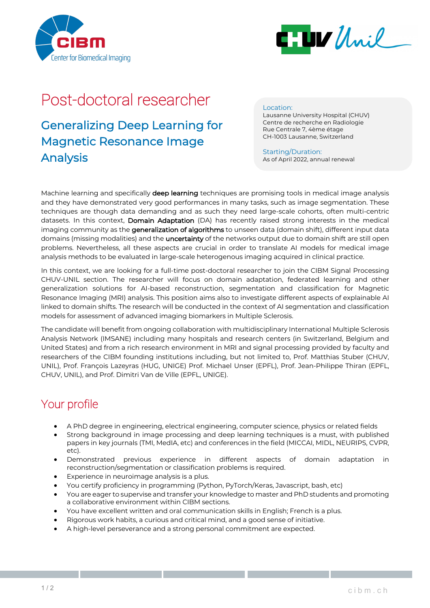



# Post-doctoral researcher

### Generalizing Deep Learning for Magnetic Resonance Image Analysis

#### Location:

Lausanne University Hospital (CHUV) Centre de recherche en Radiologie Rue Centrale 7, 4ème étage CH-1003 Lausanne, Switzerland

Starting/Duration: As of April 2022, annual renewal

Machine learning and specifically deep learning techniques are promising tools in medical image analysis and they have demonstrated very good performances in many tasks, such as image segmentation. These techniques are though data demanding and as such they need large-scale cohorts, often multi-centric datasets. In this context, Domain Adaptation (DA) has recently raised strong interests in the medical imaging community as the generalization of algorithms to unseen data (domain shift), different input data domains (missing modalities) and the **uncertainty** of the networks output due to domain shift are still open problems. Nevertheless, all these aspects are crucial in order to translate AI models for medical image analysis methods to be evaluated in large-scale heterogenous imaging acquired in clinical practice.

In this context, we are looking for a full-time post-doctoral researcher to join the CIBM Signal Processing CHUV-UNIL section. The researcher will focus on domain adaptation, federated learning and other generalization solutions for AI-based reconstruction, segmentation and classification for Magnetic Resonance Imaging (MRI) analysis. This position aims also to investigate different aspects of explainable AI linked to domain shifts. The research will be conducted in the context of AI segmentation and classification models for assessment of advanced imaging biomarkers in Multiple Sclerosis.

The candidate will benefit from ongoing collaboration with multidisciplinary International Multiple Sclerosis Analysis Network (IMSANE) including many hospitals and research centers (in Switzerland, Belgium and United States) and from a rich research environment in MRI and signal processing provided by faculty and researchers of the CIBM founding institutions including, but not limited to, Prof. Matthias Stuber (CHUV, UNIL), Prof. François Lazeyras (HUG, UNIGE) Prof. Michael Unser (EPFL), Prof. Jean-Philippe Thiran (EPFL, CHUV, UNIL), and Prof. Dimitri Van de Ville (EPFL, UNIGE).

### Your profile

- A PhD degree in engineering, electrical engineering, computer science, physics or related fields
- Strong background in image processing and deep learning techniques is a must, with published papers in key journals (TMI, MedIA, etc) and conferences in the field (MICCAI, MIDL, NEURIPS, CVPR, etc).
- Demonstrated previous experience in different aspects of domain adaptation in reconstruction/segmentation or classification problems is required.
- Experience in neuroimage analysis is a plus.
- You certify proficiency in programming (Python, PyTorch/Keras, Javascript, bash, etc)
- You are eager to supervise and transfer your knowledge to master and PhD students and promoting a collaborative environment within CIBM sections.
- You have excellent written and oral communication skills in English; French is a plus.
- Rigorous work habits, a curious and critical mind, and a good sense of initiative.
- A high-level perseverance and a strong personal commitment are expected.